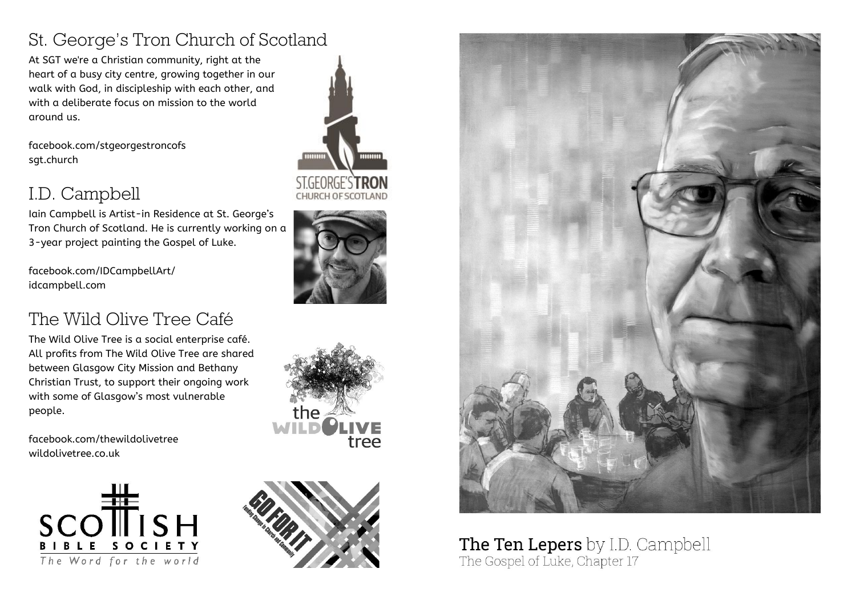# St. George's Tron Church of Scotland

At SGT we're a Christian community, right at the heart of a busy city centre, growing together in our walk with God, in discipleship with each other, and with a deliberate focus on mission to the world around us.

facebook.com/stgeorgestroncofs sgt.church

# I.D. Campbell

Iain Campbell is Artist-in Residence at St. George's Tron Church of Scotland. He is currently working on a 3-year project painting the Gospel of Luke.

facebook.com/IDCampbellArt/ idcampbell.com

# The Wild Olive Tree Café

The Wild Olive Tree is a social enterprise café. All profits from The Wild Olive Tree are shared between Glasgow City Mission and Bethany Christian Trust, to support their ongoing work with some of Glasgow's most vulnerable people.

facebook.com/thewildolivetree wildolivetree.co.uk





**CHURCH OF SCOTLAND** 









#### The Ten Lepers by I.D. Campbell The Gospel of Luke, Chapter 17